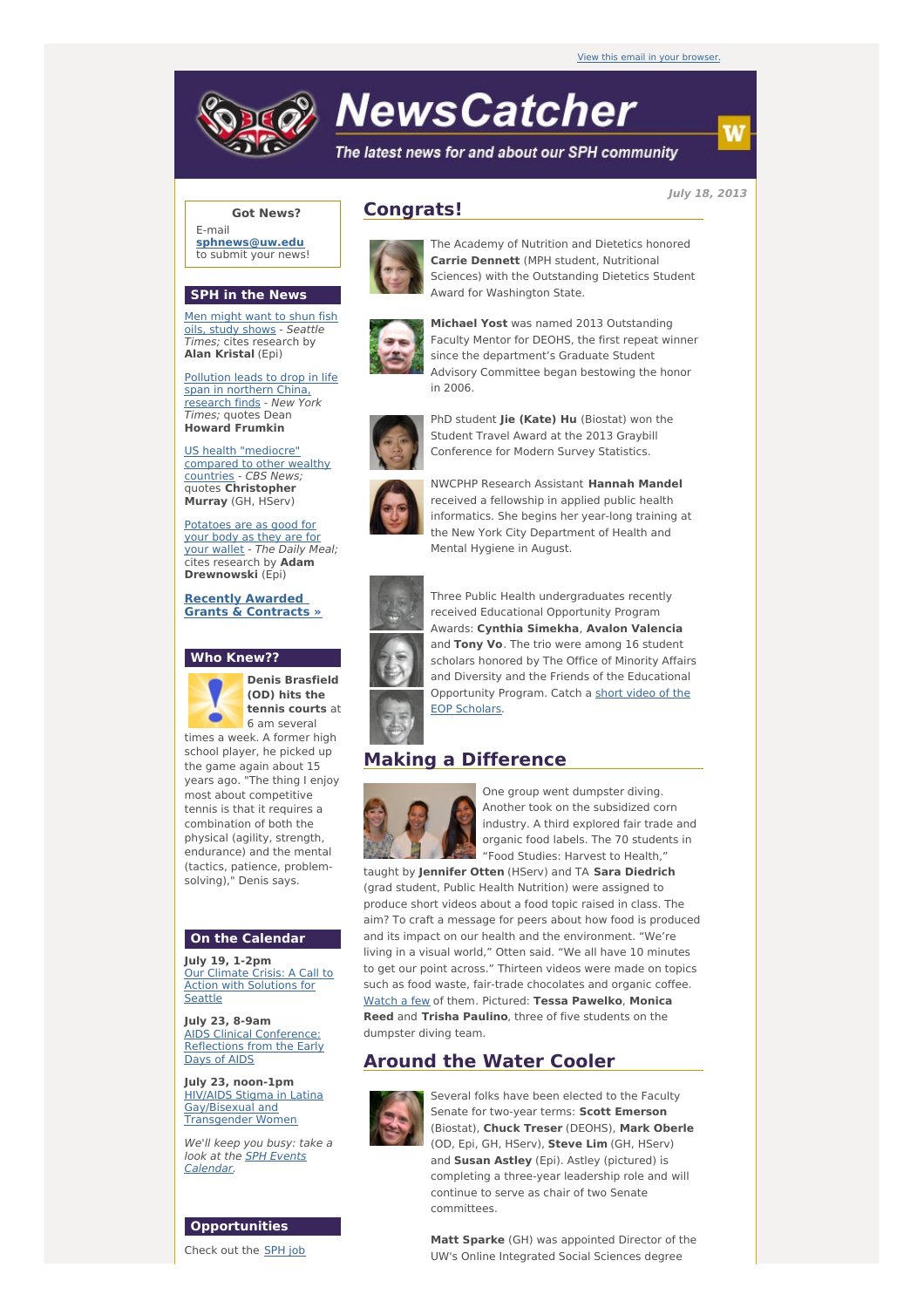# **NewsCatcher**

The latest news for and about our SPH community

**July 18, 2013**

### **Got News?**

E-mail **[sphnews@uw.edu](mailto:sphnews@uw.edu)** to submit your news!

#### **SPH in the News**

Men might want to shun fish oils, study shows - [Seattle](http://engage.washington.edu/site/R?i=mj1fmwTWSJwgUjewFzDWnA) Times; cites research by **Alan Kristal** (Epi)

Pollution leads to drop in life span in [northern](http://engage.washington.edu/site/R?i=6VukHjlGkuLcI5qpKhCN2Q) China, research finds - New York Times; quotes Dean **Howard Frumkin**

US health ["mediocre"](http://engage.washington.edu/site/R?i=kEh5iPHXMab4kB_xsb8q2Q) compared to other wealthy countries - CBS News; quotes **Christopher Murray** (GH, HServ)

[Potatoes](http://engage.washington.edu/site/R?i=SAwO3G4fdIGNzVBxpWxGfw) are as good for your body as they are for your wallet - The Daily Meal; cites research by **Adam Drewnowski** (Epi)

**Recently Awarded Grants & [Contracts](http://engage.washington.edu/site/R?i=b4A9Ln9IUGXCLEFE4B3AsA) »**

#### **Who Knew??**



**Denis Brasfield (OD) hits the tennis courts** at 6 am several

times a week. A former high school player, he picked up the game again about 15 years ago. "The thing I enjoy most about competitive tennis is that it requires a combination of both the physical (agility, strength, endurance) and the mental (tactics, patience, problemsolving)," Denis says.

## **On the Calendar**

**July 19, 1-2pm** Our Climate Crisis: A Call to Action with [Solutions](http://engage.washington.edu/site/R?i=l4Ecl9_iPaAqoNwN5xAGtA) for **Seattle** 

**July 23, 8-9am** AIDS Clinical [Conference:](http://engage.washington.edu/site/R?i=nGjQ3XJkapMG52KcakXz1g) Reflections from the Early Days of AIDS

**July 23, noon-1pm** HIV/AIDS Stigma in Latina [Gay/Bisexual](http://engage.washington.edu/site/R?i=EAkfRcO0RrJFmux2AmWsZw) and Transgender Women

We'll keep you busy: take a look at the **SPH** Events [Calendar.](http://engage.washington.edu/site/R?i=val563DSze1o7XnxFZ-JRQ)



[Check](http://engage.washington.edu/site/R?i=_XlVBwr0rq5KNlgR48FGnw) out the SPH job

# **Congrats!**



The Academy of Nutrition and Dietetics honored **Carrie Dennett** (MPH student, Nutritional Sciences) with the Outstanding Dietetics Student Award for Washington State.



**Michael Yost** was named 2013 Outstanding Faculty Mentor for DEOHS, the first repeat winner since the department's Graduate Student Advisory Committee began bestowing the honor in 2006.



PhD student **Jie (Kate) Hu** (Biostat) won the Student Travel Award at the 2013 Graybill Conference for Modern Survey Statistics.

NWCPHP Research Assistant **Hannah Mandel** received a fellowship in applied public health informatics. She begins her year-long training at the New York City Department of Health and Mental Hygiene in August.



Three Public Health undergraduates recently received Educational Opportunity Program Awards: **Cynthia Simekha**, **Avalon Valencia** and **Tony Vo**. The trio were among 16 student scholars honored by The Office of Minority Affairs and Diversity and the Friends of the Educational [Opportunity](http://engage.washington.edu/site/R?i=9tP-eONezKM3ry9yZ_GE4A) Program. Catch a short video of the EOP Scholars.

## **Making a Difference**



One group went dumpster diving. Another took on the subsidized corn industry. A third explored fair trade and organic food labels. The 70 students in "Food Studies: Harvest to Health,"

taught by **Jennifer Otten** (HServ) and TA **Sara Diedrich** (grad student, Public Health Nutrition) were assigned to produce short videos about a food topic raised in class. The aim? To craft a message for peers about how food is produced and its impact on our health and the environment. "We're living in a visual world," Otten said. "We all have 10 minutes to get our point across." Thirteen videos were made on topics such as food waste, fair-trade chocolates and organic coffee. [Watch](http://engage.washington.edu/site/R?i=o5KKI-LgXslPDLwksflrVA) a few of them. Pictured: **Tessa Pawelko**, **Monica Reed** and **Trisha Paulino**, three of five students on the dumpster diving team.

## **Around the Water Cooler**



Several folks have been elected to the Faculty Senate for two-year terms: **Scott Emerson** (Biostat), **Chuck Treser** (DEOHS), **Mark Oberle** (OD, Epi, GH, HServ), **Steve Lim** (GH, HServ) and **Susan Astley** (Epi). Astley (pictured) is completing a three-year leadership role and will continue to serve as chair of two Senate committees.

**Matt Sparke** (GH) was appointed Director of the UW's Online Integrated Social Sciences degree